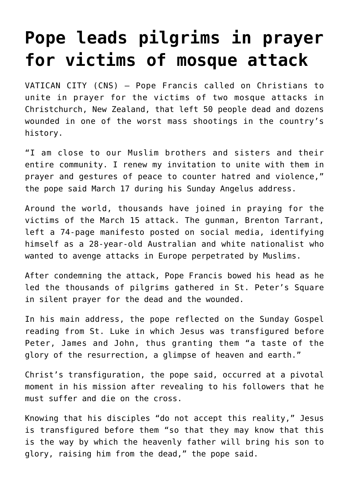## **[Pope leads pilgrims in prayer](https://www.osvnews.com/2019/03/19/pope-leads-pilgrims-in-prayer-for-victims-of-mosque-attack/) [for victims of mosque attack](https://www.osvnews.com/2019/03/19/pope-leads-pilgrims-in-prayer-for-victims-of-mosque-attack/)**

VATICAN CITY (CNS) — Pope Francis called on Christians to unite in prayer for the victims of two mosque attacks in Christchurch, New Zealand, that left 50 people dead and dozens wounded in one of the worst mass shootings in the country's history.

"I am close to our Muslim brothers and sisters and their entire community. I renew my invitation to unite with them in prayer and gestures of peace to counter hatred and violence," the pope said March 17 during his Sunday Angelus address.

Around the world, thousands have joined in praying for the victims of the March 15 attack. The gunman, Brenton Tarrant, left a 74-page manifesto posted on social media, identifying himself as a 28-year-old Australian and white nationalist who wanted to avenge attacks in Europe perpetrated by Muslims.

After condemning the attack, Pope Francis bowed his head as he led the thousands of pilgrims gathered in St. Peter's Square in silent prayer for the dead and the wounded.

In his main address, the pope reflected on the Sunday Gospel reading from St. Luke in which Jesus was transfigured before Peter, James and John, thus granting them "a taste of the glory of the resurrection, a glimpse of heaven and earth."

Christ's transfiguration, the pope said, occurred at a pivotal moment in his mission after revealing to his followers that he must suffer and die on the cross.

Knowing that his disciples "do not accept this reality," Jesus is transfigured before them "so that they may know that this is the way by which the heavenly father will bring his son to glory, raising him from the dead," the pope said.